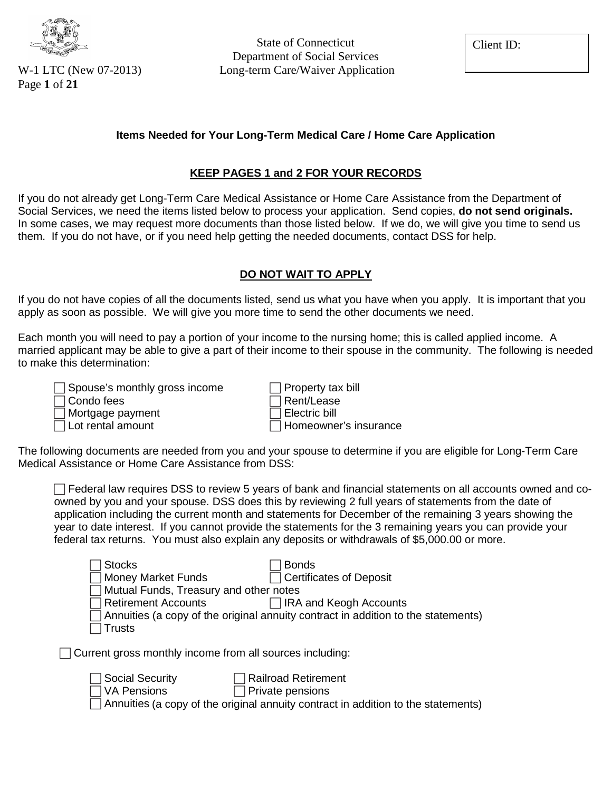

Page **1** of **21**

State of Connecticut Department of Social Services W-1 LTC (New 07-2013) Long-term Care/Waiver Application

Client ID:

#### **Items Needed for Your Long-Term Medical Care / Home Care Application**

#### **KEEP PAGES 1 and 2 FOR YOUR RECORDS**

If you do not already get Long-Term Care Medical Assistance or Home Care Assistance from the Department of Social Services, we need the items listed below to process your application. Send copies, **do not send originals.**  In some cases, we may request more documents than those listed below. If we do, we will give you time to send us them. If you do not have, or if you need help getting the needed documents, contact DSS for help.

#### **DO NOT WAIT TO APPLY**

If you do not have copies of all the documents listed, send us what you have when you apply. It is important that you apply as soon as possible. We will give you more time to send the other documents we need.

Each month you will need to pay a portion of your income to the nursing home; this is called applied income. A married applicant may be able to give a part of their income to their spouse in the community. The following is needed to make this determination:

| $\Box$ Spouse's monthly gross income | $\Box$ Property tax bill     |
|--------------------------------------|------------------------------|
| $\Box$ Condo fees                    | $\Box$ Rent/Lease            |
| □ Mortgage payment                   | $\Box$ Electric bill         |
| $\Box$ Lot rental amount             | $\Box$ Homeowner's insurance |

The following documents are needed from you and your spouse to determine if you are eligible for Long-Term Care Medical Assistance or Home Care Assistance from DSS:

 $\Box$  Federal law requires DSS to review 5 years of bank and financial statements on all accounts owned and coowned by you and your spouse. DSS does this by reviewing 2 full years of statements from the date of application including the current month and statements for December of the remaining 3 years showing the year to date interest. If you cannot provide the statements for the 3 remaining years you can provide your federal tax returns. You must also explain any deposits or withdrawals of \$5,000.00 or more.

| <b>Stocks</b>                                                   | <b>Bonds</b>                                                                      |
|-----------------------------------------------------------------|-----------------------------------------------------------------------------------|
| <b>Money Market Funds</b>                                       | <b>Certificates of Deposit</b>                                                    |
| Mutual Funds, Treasury and other notes                          |                                                                                   |
| <b>Retirement Accounts</b>                                      | <b>IRA and Keogh Accounts</b>                                                     |
|                                                                 | Annuities (a copy of the original annuity contract in addition to the statements) |
| <b>Trusts</b>                                                   |                                                                                   |
| $\Box$ Current gross monthly income from all sources including: |                                                                                   |
| <b>Social Security</b>                                          | <b>Railroad Retirement</b>                                                        |
| <b>VA Pensions</b>                                              | Private pensions                                                                  |
|                                                                 | Annuities (a copy of the original annuity contract in addition to the statements) |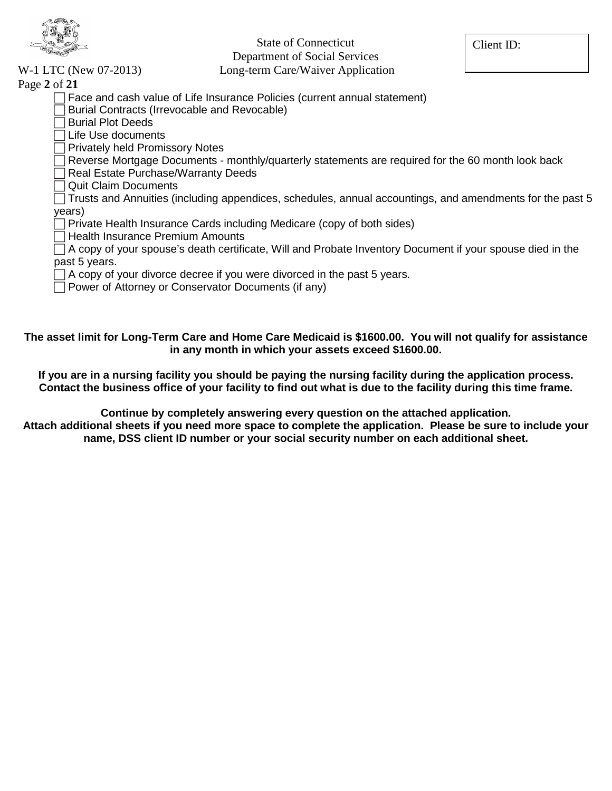

State of Connecticut

Department of Social Services

Client ID:

W-1 LTC (New 07-2013) Long-term Care/Waiver Application

| Page 2 of 21                                                              |  |
|---------------------------------------------------------------------------|--|
| Face and cash value of Life Insurance Policies (current annual statement) |  |

- Burial Contracts (Irrevocable and Revocable)
- **Burial Plot Deeds**
- Life Use documents
- Privately held Promissory Notes
- Reverse Mortgage Documents monthly/quarterly statements are required for the 60 month look back
- Real Estate Purchase/Warranty Deeds
- Quit Claim Documents

 Trusts and Annuities (including appendices, schedules, annual accountings, and amendments for the past 5 years)

- Private Health Insurance Cards including Medicare (copy of both sides)
- $\Box$  Health Insurance Premium Amounts

 $\Box$  A copy of your spouse's death certificate, Will and Probate Inventory Document if your spouse died in the past 5 years.

- $\Box$  A copy of your divorce decree if you were divorced in the past 5 years.
- $\Box$  Power of Attorney or Conservator Documents (if any)

**The asset limit for Long-Term Care and Home Care Medicaid is \$1600.00. You will not qualify for assistance in any month in which your assets exceed \$1600.00.** 

**If you are in a nursing facility you should be paying the nursing facility during the application process. Contact the business office of your facility to find out what is due to the facility during this time frame.**

**Continue by completely answering every question on the attached application.**

**Attach additional sheets if you need more space to complete the application. Please be sure to include your name, DSS client ID number or your social security number on each additional sheet.**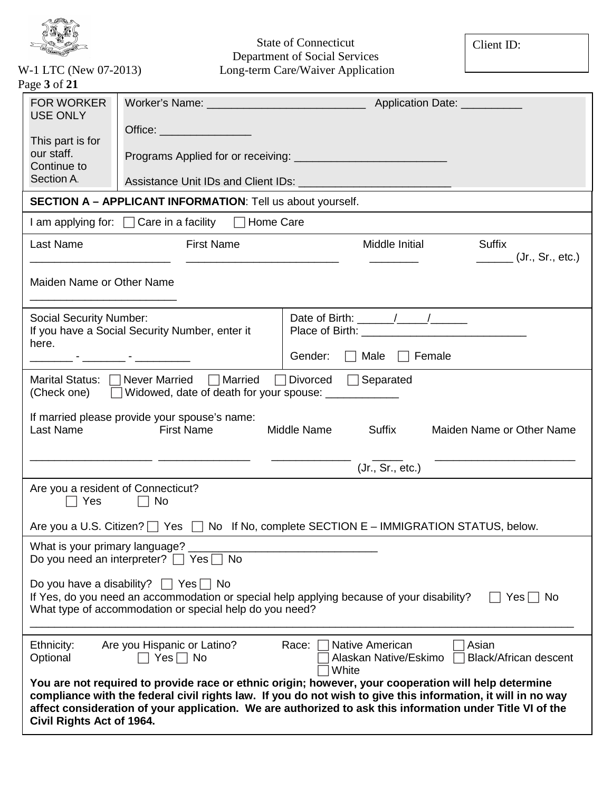

Client ID:

| W-1 LTC (New 07-2013) |
|-----------------------|
| Page 3 of 21          |

| age o or zi                                                                                                                                                                  |                                                                                                                            |                                                                                                                                                                                                                                                                                                                                                                                                                   |                                                   |  |
|------------------------------------------------------------------------------------------------------------------------------------------------------------------------------|----------------------------------------------------------------------------------------------------------------------------|-------------------------------------------------------------------------------------------------------------------------------------------------------------------------------------------------------------------------------------------------------------------------------------------------------------------------------------------------------------------------------------------------------------------|---------------------------------------------------|--|
| <b>FOR WORKER</b><br><b>USE ONLY</b>                                                                                                                                         |                                                                                                                            |                                                                                                                                                                                                                                                                                                                                                                                                                   |                                                   |  |
|                                                                                                                                                                              | Office: _____________________                                                                                              |                                                                                                                                                                                                                                                                                                                                                                                                                   |                                                   |  |
| This part is for<br>our staff.                                                                                                                                               |                                                                                                                            |                                                                                                                                                                                                                                                                                                                                                                                                                   |                                                   |  |
| Continue to                                                                                                                                                                  |                                                                                                                            |                                                                                                                                                                                                                                                                                                                                                                                                                   |                                                   |  |
| Section A.                                                                                                                                                                   |                                                                                                                            |                                                                                                                                                                                                                                                                                                                                                                                                                   |                                                   |  |
|                                                                                                                                                                              | <b>SECTION A - APPLICANT INFORMATION:</b> Tell us about yourself.                                                          |                                                                                                                                                                                                                                                                                                                                                                                                                   |                                                   |  |
|                                                                                                                                                                              | I am applying for: $\Box$ Care in a facility $\Box$ Home Care                                                              |                                                                                                                                                                                                                                                                                                                                                                                                                   |                                                   |  |
| Last Name                                                                                                                                                                    | <b>First Name</b>                                                                                                          | Middle Initial                                                                                                                                                                                                                                                                                                                                                                                                    | <b>Suffix</b>                                     |  |
|                                                                                                                                                                              |                                                                                                                            |                                                                                                                                                                                                                                                                                                                                                                                                                   | $\frac{1}{\sqrt{1-\frac{1}{2}}}$ (Jr., Sr., etc.) |  |
| Maiden Name or Other Name                                                                                                                                                    |                                                                                                                            |                                                                                                                                                                                                                                                                                                                                                                                                                   |                                                   |  |
|                                                                                                                                                                              |                                                                                                                            |                                                                                                                                                                                                                                                                                                                                                                                                                   |                                                   |  |
| <b>Social Security Number:</b>                                                                                                                                               | If you have a Social Security Number, enter it                                                                             | Date of Birth: $\frac{1}{\sqrt{1-\frac{1}{2}}}\frac{1}{\sqrt{1-\frac{1}{2}}}\frac{1}{\sqrt{1-\frac{1}{2}}}\frac{1}{\sqrt{1-\frac{1}{2}}}\frac{1}{\sqrt{1-\frac{1}{2}}}\frac{1}{\sqrt{1-\frac{1}{2}}}\frac{1}{\sqrt{1-\frac{1}{2}}}\frac{1}{\sqrt{1-\frac{1}{2}}}\frac{1}{\sqrt{1-\frac{1}{2}}}\frac{1}{\sqrt{1-\frac{1}{2}}}\frac{1}{\sqrt{1-\frac{1}{2}}}\frac{1}{\sqrt{1-\frac{1}{2}}}\frac{1}{\sqrt{1-\frac{1$ |                                                   |  |
| here.                                                                                                                                                                        |                                                                                                                            |                                                                                                                                                                                                                                                                                                                                                                                                                   |                                                   |  |
|                                                                                                                                                                              |                                                                                                                            | $\Box$ Male $\Box$ Female<br>Gender:                                                                                                                                                                                                                                                                                                                                                                              |                                                   |  |
|                                                                                                                                                                              | Marital Status: $\Box$ Never Married $\Box$ Married<br>(Check one) □ Widowed, date of death for your spouse: _____________ | $\Box$ Divorced $\Box$ Separated                                                                                                                                                                                                                                                                                                                                                                                  |                                                   |  |
|                                                                                                                                                                              |                                                                                                                            |                                                                                                                                                                                                                                                                                                                                                                                                                   |                                                   |  |
| Last Name                                                                                                                                                                    | If married please provide your spouse's name:<br><b>First Name</b>                                                         | Middle Name<br>Suffix                                                                                                                                                                                                                                                                                                                                                                                             | Maiden Name or Other Name                         |  |
|                                                                                                                                                                              |                                                                                                                            |                                                                                                                                                                                                                                                                                                                                                                                                                   |                                                   |  |
|                                                                                                                                                                              |                                                                                                                            | (Jr., Sr., etc.)                                                                                                                                                                                                                                                                                                                                                                                                  |                                                   |  |
| Are you a resident of Connecticut?                                                                                                                                           |                                                                                                                            |                                                                                                                                                                                                                                                                                                                                                                                                                   |                                                   |  |
| $\Box$ Yes                                                                                                                                                                   | $\Box$ No                                                                                                                  |                                                                                                                                                                                                                                                                                                                                                                                                                   |                                                   |  |
|                                                                                                                                                                              |                                                                                                                            | Are you a U.S. Citizen? $\Box$ Yes $\Box$ No If No, complete SECTION E – IMMIGRATION STATUS, below.                                                                                                                                                                                                                                                                                                               |                                                   |  |
| What is your primary language?                                                                                                                                               |                                                                                                                            |                                                                                                                                                                                                                                                                                                                                                                                                                   |                                                   |  |
|                                                                                                                                                                              | Do you need an interpreter? $\Box$ Yes<br>No                                                                               |                                                                                                                                                                                                                                                                                                                                                                                                                   |                                                   |  |
| Do you have a disability?<br>$\Box$ Yes $\Box$ No                                                                                                                            |                                                                                                                            |                                                                                                                                                                                                                                                                                                                                                                                                                   |                                                   |  |
| If Yes, do you need an accommodation or special help applying because of your disability?<br>$Yes \mid \text{No}$<br>What type of accommodation or special help do you need? |                                                                                                                            |                                                                                                                                                                                                                                                                                                                                                                                                                   |                                                   |  |
|                                                                                                                                                                              |                                                                                                                            |                                                                                                                                                                                                                                                                                                                                                                                                                   |                                                   |  |
| Ethnicity:                                                                                                                                                                   | Are you Hispanic or Latino?                                                                                                | <b>Native American</b><br>Race:                                                                                                                                                                                                                                                                                                                                                                                   | Asian                                             |  |
| Optional                                                                                                                                                                     | $Yes \Box No$                                                                                                              | Alaskan Native/Eskimo<br>White                                                                                                                                                                                                                                                                                                                                                                                    | <b>Black/African descent</b>                      |  |
|                                                                                                                                                                              |                                                                                                                            | You are not required to provide race or ethnic origin; however, your cooperation will help determine                                                                                                                                                                                                                                                                                                              |                                                   |  |
|                                                                                                                                                                              |                                                                                                                            | compliance with the federal civil rights law. If you do not wish to give this information, it will in no way<br>affect consideration of your application. We are authorized to ask this information under Title VI of the                                                                                                                                                                                         |                                                   |  |
| Civil Rights Act of 1964.                                                                                                                                                    |                                                                                                                            |                                                                                                                                                                                                                                                                                                                                                                                                                   |                                                   |  |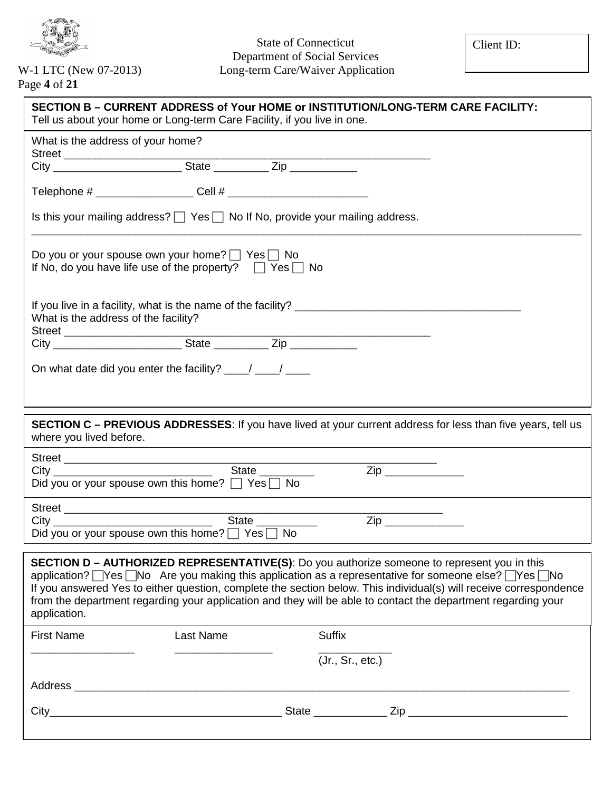

Page **4** of **21**

| SECTION B – CURRENT ADDRESS of Your HOME or INSTITUTION/LONG-TERM CARE FACILITY:<br>Tell us about your home or Long-term Care Facility, if you live in one.                                                                                                                                                                                                                                                                                                |
|------------------------------------------------------------------------------------------------------------------------------------------------------------------------------------------------------------------------------------------------------------------------------------------------------------------------------------------------------------------------------------------------------------------------------------------------------------|
| What is the address of your home?                                                                                                                                                                                                                                                                                                                                                                                                                          |
|                                                                                                                                                                                                                                                                                                                                                                                                                                                            |
|                                                                                                                                                                                                                                                                                                                                                                                                                                                            |
| Is this your mailing address? $\Box$ Yes $\Box$ No If No, provide your mailing address.                                                                                                                                                                                                                                                                                                                                                                    |
| Do you or your spouse own your home? □ Yes □ No<br>If No, do you have life use of the property? $\Box$ Yes $\Box$ No                                                                                                                                                                                                                                                                                                                                       |
| What is the address of the facility?                                                                                                                                                                                                                                                                                                                                                                                                                       |
|                                                                                                                                                                                                                                                                                                                                                                                                                                                            |
| On what date did you enter the facility? $\frac{1}{\sqrt{1-\frac{1}{2}}}\frac{1}{\sqrt{1-\frac{1}{2}}}\frac{1}{\sqrt{1-\frac{1}{2}}}\frac{1}{\sqrt{1-\frac{1}{2}}}\frac{1}{\sqrt{1-\frac{1}{2}}}\frac{1}{\sqrt{1-\frac{1}{2}}}\frac{1}{\sqrt{1-\frac{1}{2}}}\frac{1}{\sqrt{1-\frac{1}{2}}}\frac{1}{\sqrt{1-\frac{1}{2}}}\frac{1}{\sqrt{1-\frac{1}{2}}}\frac{1}{\sqrt{1-\frac{1}{2}}}\frac{$                                                                |
|                                                                                                                                                                                                                                                                                                                                                                                                                                                            |
| <b>SECTION C - PREVIOUS ADDRESSES:</b> If you have lived at your current address for less than five years, tell us<br>where you lived before.<br><u> 1980 - Johann Barn, mars ann an t-Amhain Aonaich an t-Aonaich an t-Aonaich ann an t-Aonaich ann an t-Aonaich</u>                                                                                                                                                                                      |
| Street<br>City<br>City                                                                                                                                                                                                                                                                                                                                                                                                                                     |
| $\mathsf{Zip} \_\_$<br>Did you or your spouse own this home? $\Box$ Yes $\Box$ No                                                                                                                                                                                                                                                                                                                                                                          |
| Street<br>City<br>City                                                                                                                                                                                                                                                                                                                                                                                                                                     |
| Zip ______________<br>Did you or your spouse own this home? $\Box$ Yes $\Box$ No                                                                                                                                                                                                                                                                                                                                                                           |
| SECTION D - AUTHORIZED REPRESENTATIVE(S): Do you authorize someone to represent you in this<br>application? Thes TNo Are you making this application as a representative for someone else? Thes TNo<br>If you answered Yes to either question, complete the section below. This individual(s) will receive correspondence<br>from the department regarding your application and they will be able to contact the department regarding your<br>application. |
| <b>First Name</b><br>Last Name<br><b>Suffix</b>                                                                                                                                                                                                                                                                                                                                                                                                            |
| (Jr., Sr., etc.)                                                                                                                                                                                                                                                                                                                                                                                                                                           |
|                                                                                                                                                                                                                                                                                                                                                                                                                                                            |
|                                                                                                                                                                                                                                                                                                                                                                                                                                                            |
|                                                                                                                                                                                                                                                                                                                                                                                                                                                            |
|                                                                                                                                                                                                                                                                                                                                                                                                                                                            |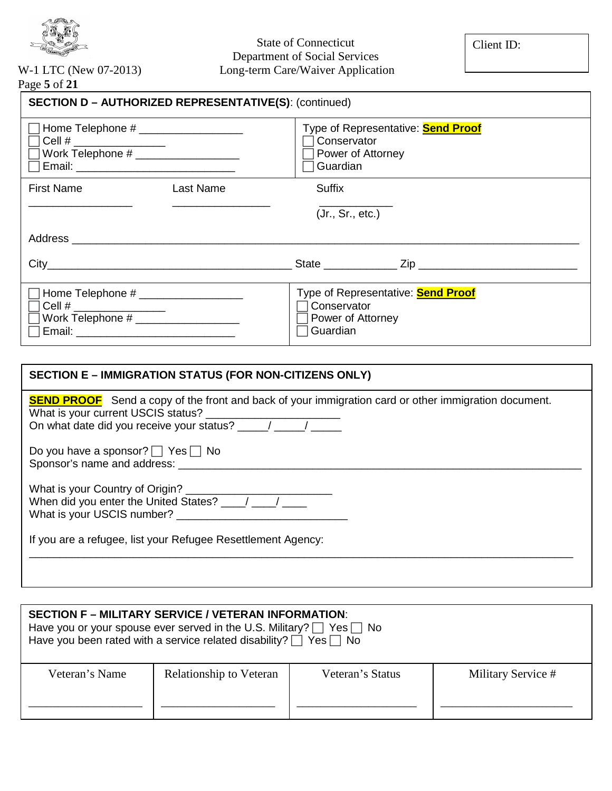

# State of Connecticut Department of Social Services

#### W-1 LTC (New 07-2013) Long-term Care/Waiver Application Page **5** of **21**

| <b>SECTION D - AUTHORIZED REPRESENTATIVE(S): (continued)</b>                                                                                                                                                                                                                                                                                                                                             |           |                                                                                           |  |  |
|----------------------------------------------------------------------------------------------------------------------------------------------------------------------------------------------------------------------------------------------------------------------------------------------------------------------------------------------------------------------------------------------------------|-----------|-------------------------------------------------------------------------------------------|--|--|
| Home Telephone # ____________________<br>Cell # $\frac{1}{2}$ $\frac{1}{2}$ $\frac{1}{2}$ $\frac{1}{2}$ $\frac{1}{2}$ $\frac{1}{2}$ $\frac{1}{2}$ $\frac{1}{2}$ $\frac{1}{2}$ $\frac{1}{2}$ $\frac{1}{2}$ $\frac{1}{2}$ $\frac{1}{2}$ $\frac{1}{2}$ $\frac{1}{2}$ $\frac{1}{2}$ $\frac{1}{2}$ $\frac{1}{2}$ $\frac{1}{2}$ $\frac{1}{2}$ $\frac{1}{2}$ $\frac{$<br>Work Telephone # _____________________ |           | Type of Representative: <b>Send Proof</b><br>Conservator<br>Power of Attorney<br>Guardian |  |  |
| <b>First Name</b>                                                                                                                                                                                                                                                                                                                                                                                        | Last Name | Suffix                                                                                    |  |  |
|                                                                                                                                                                                                                                                                                                                                                                                                          |           | (Jr., Sr., etc.)                                                                          |  |  |
|                                                                                                                                                                                                                                                                                                                                                                                                          |           |                                                                                           |  |  |
|                                                                                                                                                                                                                                                                                                                                                                                                          |           | State <u>Zip</u> Zip                                                                      |  |  |
| Cell # $\frac{1}{2}$ $\frac{1}{2}$ $\frac{1}{2}$ $\frac{1}{2}$ $\frac{1}{2}$ $\frac{1}{2}$ $\frac{1}{2}$ $\frac{1}{2}$ $\frac{1}{2}$ $\frac{1}{2}$ $\frac{1}{2}$ $\frac{1}{2}$ $\frac{1}{2}$ $\frac{1}{2}$ $\frac{1}{2}$ $\frac{1}{2}$ $\frac{1}{2}$ $\frac{1}{2}$ $\frac{1}{2}$ $\frac{1}{2}$ $\frac{1}{2}$ $\frac{$                                                                                    |           | Type of Representative: <b>Send Proof</b><br>Conservator<br>Power of Attorney<br>Guardian |  |  |

| SECTION E – IMMIGRATION STATUS (FOR NON-CITIZENS ONLY)                                                                                            |
|---------------------------------------------------------------------------------------------------------------------------------------------------|
| <b>SEND PROOF</b> Send a copy of the front and back of your immigration card or other immigration document.<br>What is your current USCIS status? |
| Do you have a sponsor? $\Box$ Yes $\Box$ No<br>Sponsor's name and address:                                                                        |
| What is your USCIS number? __                                                                                                                     |
| If you are a refugee, list your Refugee Resettlement Agency:                                                                                      |
|                                                                                                                                                   |

| <b>SECTION F – MILITARY SERVICE / VETERAN INFORMATION:</b><br>Have you or your spouse ever served in the U.S. Military? $\Box$ Yes $\Box$ No<br>Have you been rated with a service related disability? $\Box$ Yes $\Box$ No |                         |                  |                    |  |
|-----------------------------------------------------------------------------------------------------------------------------------------------------------------------------------------------------------------------------|-------------------------|------------------|--------------------|--|
| Veteran's Name                                                                                                                                                                                                              | Relationship to Veteran | Veteran's Status | Military Service # |  |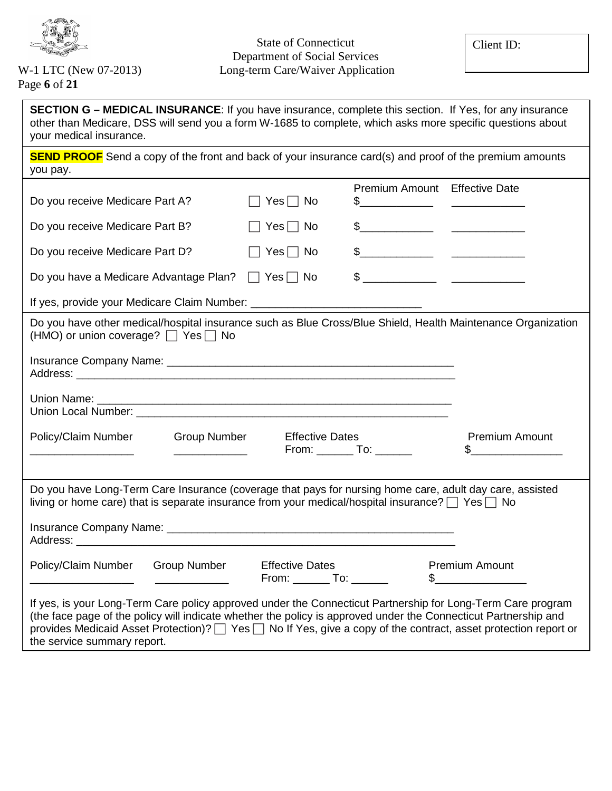

Page **6** of **21**

| <b>SECTION G – MEDICAL INSURANCE:</b> If you have insurance, complete this section. If Yes, for any insurance<br>other than Medicare, DSS will send you a form W-1685 to complete, which asks more specific questions about<br>your medical insurance.                                                                                            |                                                    |                                   |                                        |
|---------------------------------------------------------------------------------------------------------------------------------------------------------------------------------------------------------------------------------------------------------------------------------------------------------------------------------------------------|----------------------------------------------------|-----------------------------------|----------------------------------------|
| <b>SEND PROOF</b> Send a copy of the front and back of your insurance card(s) and proof of the premium amounts<br>you pay.                                                                                                                                                                                                                        |                                                    |                                   |                                        |
|                                                                                                                                                                                                                                                                                                                                                   |                                                    | Premium Amount Effective Date     |                                        |
| Do you receive Medicare Part A?                                                                                                                                                                                                                                                                                                                   | $Yes \Box No$                                      | $\frac{1}{2}$                     |                                        |
| Do you receive Medicare Part B?                                                                                                                                                                                                                                                                                                                   | $Yes \Box No$                                      | $\frac{1}{2}$                     |                                        |
| Do you receive Medicare Part D?                                                                                                                                                                                                                                                                                                                   | $\Box$ Yes $\Box$ No                               | $\frac{1}{2}$                     |                                        |
| Do you have a Medicare Advantage Plan? □ Yes □ No                                                                                                                                                                                                                                                                                                 |                                                    |                                   |                                        |
|                                                                                                                                                                                                                                                                                                                                                   |                                                    |                                   |                                        |
| Do you have other medical/hospital insurance such as Blue Cross/Blue Shield, Health Maintenance Organization<br>(HMO) or union coverage? $\Box$ Yes $\Box$ No                                                                                                                                                                                     |                                                    |                                   |                                        |
|                                                                                                                                                                                                                                                                                                                                                   |                                                    |                                   |                                        |
|                                                                                                                                                                                                                                                                                                                                                   |                                                    |                                   |                                        |
| Policy/Claim Number<br><b>Group Number</b>                                                                                                                                                                                                                                                                                                        | <b>Effective Dates</b>                             | From: _____________ To: _________ | <b>Premium Amount</b>                  |
|                                                                                                                                                                                                                                                                                                                                                   |                                                    |                                   |                                        |
| Do you have Long-Term Care Insurance (coverage that pays for nursing home care, adult day care, assisted<br>living or home care) that is separate insurance from your medical/hospital insurance? $\Box$ Yes $\Box$ No                                                                                                                            |                                                    |                                   |                                        |
|                                                                                                                                                                                                                                                                                                                                                   |                                                    |                                   |                                        |
| Policy/Claim Number<br><b>Group Number</b>                                                                                                                                                                                                                                                                                                        | <b>Effective Dates</b><br>From: _______ To: ______ |                                   | <b>Premium Amount</b><br>$\frac{1}{2}$ |
| If yes, is your Long-Term Care policy approved under the Connecticut Partnership for Long-Term Care program<br>(the face page of the policy will indicate whether the policy is approved under the Connecticut Partnership and<br>provides Medicaid Asset Protection)?   Yes   No If Yes, give a copy of the contract, asset protection report or |                                                    |                                   |                                        |

the service summary report.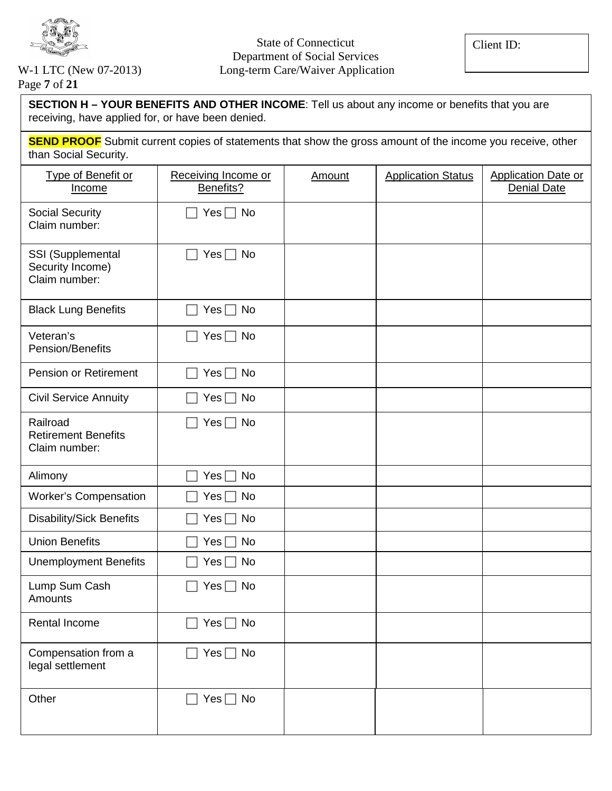

# Page **7** of **21**

**SECTION H – YOUR BENEFITS AND OTHER INCOME**: Tell us about any income or benefits that you are receiving, have applied for, or have been denied.

**SEND PROOF** Submit current copies of statements that show the gross amount of the income you receive, other than Social Security.

| Type of Benefit or<br>Income                            | Receiving Income or<br>Benefits? | Amount | <b>Application Status</b> | <b>Application Date or</b><br><b>Denial Date</b> |
|---------------------------------------------------------|----------------------------------|--------|---------------------------|--------------------------------------------------|
| <b>Social Security</b><br>Claim number:                 | Yes $\Box$ No                    |        |                           |                                                  |
| SSI (Supplemental<br>Security Income)<br>Claim number:  | Yes $\Box$ No                    |        |                           |                                                  |
| <b>Black Lung Benefits</b>                              | Yes $\Box$ No                    |        |                           |                                                  |
| Veteran's<br>Pension/Benefits                           | Yes $\Box$ No                    |        |                           |                                                  |
| <b>Pension or Retirement</b>                            | Yes $\Box$ No                    |        |                           |                                                  |
| <b>Civil Service Annuity</b>                            | Yes $\Box$ No                    |        |                           |                                                  |
| Railroad<br><b>Retirement Benefits</b><br>Claim number: | $Yes \Box No$                    |        |                           |                                                  |
| Alimony                                                 | $Yes \Box No$                    |        |                           |                                                  |
| <b>Worker's Compensation</b>                            | Yes $\Box$ No                    |        |                           |                                                  |
| <b>Disability/Sick Benefits</b>                         | Yes $\Box$ No                    |        |                           |                                                  |
| <b>Union Benefits</b>                                   | Yes $\Box$ No                    |        |                           |                                                  |
| <b>Unemployment Benefits</b>                            | $Yes \Box No$                    |        |                           |                                                  |
| Lump Sum Cash<br>Amounts                                | $Yes \Box No$                    |        |                           |                                                  |
| Rental Income                                           | Yes $\Box$ No                    |        |                           |                                                  |
| Compensation from a<br>legal settlement                 | $Yes \Box No$                    |        |                           |                                                  |
| Other                                                   | $Yes \Box No$                    |        |                           |                                                  |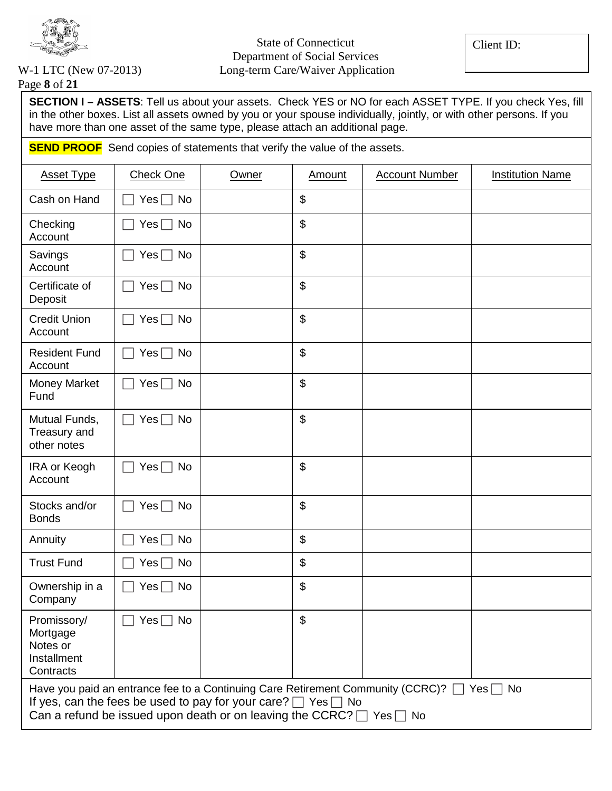

Client ID:

Page **8** of **21**

**SECTION I – ASSETS**: Tell us about your assets. Check YES or NO for each ASSET TYPE. If you check Yes, fill in the other boxes. List all assets owned by you or your spouse individually, jointly, or with other persons. If you have more than one asset of the same type, please attach an additional page.

**SEND PROOF** Send copies of statements that verify the value of the assets.

| <b>Asset Type</b>                                                                                                                                                                                                                                                 | <b>Check One</b> | Owner | Amount                    | <b>Account Number</b> | <b>Institution Name</b> |
|-------------------------------------------------------------------------------------------------------------------------------------------------------------------------------------------------------------------------------------------------------------------|------------------|-------|---------------------------|-----------------------|-------------------------|
| Cash on Hand                                                                                                                                                                                                                                                      | $Yes \Box No$    |       | \$                        |                       |                         |
| Checking<br>Account                                                                                                                                                                                                                                               | $Yes \Box No$    |       | \$                        |                       |                         |
| Savings<br>Account                                                                                                                                                                                                                                                | $Yes \Box No$    |       | \$                        |                       |                         |
| Certificate of<br>Deposit                                                                                                                                                                                                                                         | $Yes \Box No$    |       | $\mathfrak{S}$            |                       |                         |
| <b>Credit Union</b><br>Account                                                                                                                                                                                                                                    | Yes $\Box$<br>No |       | \$                        |                       |                         |
| <b>Resident Fund</b><br>Account                                                                                                                                                                                                                                   | $Yes \Box No$    |       | $\boldsymbol{\mathsf{S}}$ |                       |                         |
| Money Market<br>Fund                                                                                                                                                                                                                                              | $Yes \Box$<br>No |       | \$                        |                       |                         |
| Mutual Funds,<br>Treasury and<br>other notes                                                                                                                                                                                                                      | Yes $\Box$<br>No |       | $\boldsymbol{\mathsf{S}}$ |                       |                         |
| IRA or Keogh<br>Account                                                                                                                                                                                                                                           | Yes $\Box$<br>No |       | $\boldsymbol{\mathsf{S}}$ |                       |                         |
| Stocks and/or<br><b>Bonds</b>                                                                                                                                                                                                                                     | Yes $\Box$<br>No |       | \$                        |                       |                         |
| Annuity                                                                                                                                                                                                                                                           | No<br>Yes $\Box$ |       | \$                        |                       |                         |
| <b>Trust Fund</b>                                                                                                                                                                                                                                                 | No<br>$Yes \Box$ |       | $\boldsymbol{\mathsf{S}}$ |                       |                         |
| Ownership in a<br>Company                                                                                                                                                                                                                                         | No<br>$Yes \Box$ |       | \$                        |                       |                         |
| Promissory/<br>Mortgage<br>Notes or<br>Installment<br>Contracts                                                                                                                                                                                                   | $Yes \Box No$    |       | $\boldsymbol{\mathsf{S}}$ |                       |                         |
| Have you paid an entrance fee to a Continuing Care Retirement Community (CCRC)? $\Box$ Yes $\Box$ No<br>If yes, can the fees be used to pay for your care? $\Box$ Yes $\Box$ No<br>Can a refund be issued upon death or on leaving the CCRC? $\Box$ Yes $\Box$ No |                  |       |                           |                       |                         |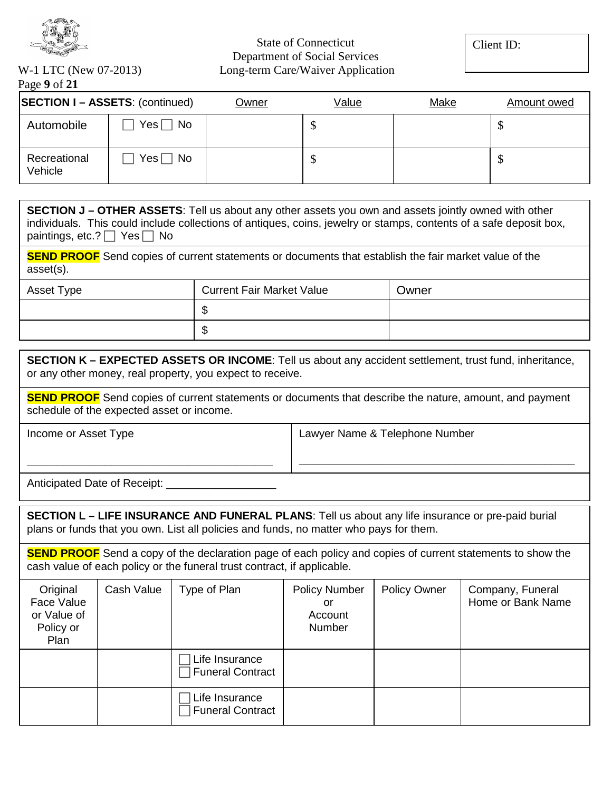

Client ID:

Page **9** of **21**

|                         | <b>SECTION I - ASSETS: (continued)</b>                                                                        | <u>Owner</u> | Value | Make | Amount owed |
|-------------------------|---------------------------------------------------------------------------------------------------------------|--------------|-------|------|-------------|
| Automobile              | $Yes \Box No$                                                                                                 |              | Φ     |      | Φ           |
| Recreational<br>Vehicle | $Yes \Box No$                                                                                                 |              | \$    |      | ◡           |
| $A = A + A + I$         | ATUER LAAFTA TUU LA SUUDI LA SUUDI LA SUUDI LA SUUDI LA SUUDI LA SUUDI LA SUUDI LA SUUDI LA SUUDI LA SUUDI LA |              |       |      |             |

| $\mu$ SECTION J – OTHER ASSETS: Tell us about any other assets you own and assets jointly owned with other         |
|--------------------------------------------------------------------------------------------------------------------|
| individuals. This could include collections of antiques, coins, jewelry or stamps, contents of a safe deposit box, |
| paintings, etc.? $\Box$ Yes $\Box$ No                                                                              |

**SEND PROOF** Send copies of current statements or documents that establish the fair market value of the asset(s).

| Asset Type | <b>Current Fair Market Value</b> | Owner |
|------------|----------------------------------|-------|
|            |                                  |       |
|            | w                                |       |

| <b>SECTION K – EXPECTED ASSETS OR INCOME:</b> Tell us about any accident settlement, trust fund, inheritance, |
|---------------------------------------------------------------------------------------------------------------|
| or any other money, real property, you expect to receive.                                                     |

**SEND PROOF** Send copies of current statements or documents that describe the nature, amount, and payment schedule of the expected asset or income.

Income or Asset Type

Lawyer Name & Telephone Number

\_\_\_\_\_\_\_\_\_\_\_\_\_\_\_\_\_\_\_\_\_\_\_\_\_\_\_\_\_\_\_\_\_\_\_\_\_\_\_\_\_\_\_\_\_\_

Anticipated Date of Receipt: \_\_\_\_\_\_\_\_\_\_\_\_\_\_\_\_\_\_

\_\_\_\_\_\_\_\_\_\_\_\_\_\_\_\_\_\_\_\_\_\_\_\_\_\_\_\_\_\_\_\_\_\_\_\_\_\_\_\_\_

**SECTION L – LIFE INSURANCE AND FUNERAL PLANS**: Tell us about any life insurance or pre-paid burial plans or funds that you own. List all policies and funds, no matter who pays for them.

**SEND PROOF** Send a copy of the declaration page of each policy and copies of current statements to show the cash value of each policy or the funeral trust contract, if applicable.

| Original<br>Face Value<br>or Value of<br>Policy or<br>Plan | Cash Value | Type of Plan                              | <b>Policy Number</b><br>or<br>Account<br>Number | <b>Policy Owner</b> | Company, Funeral<br>Home or Bank Name |
|------------------------------------------------------------|------------|-------------------------------------------|-------------------------------------------------|---------------------|---------------------------------------|
|                                                            |            | Life Insurance<br><b>Funeral Contract</b> |                                                 |                     |                                       |
|                                                            |            | Life Insurance<br><b>Funeral Contract</b> |                                                 |                     |                                       |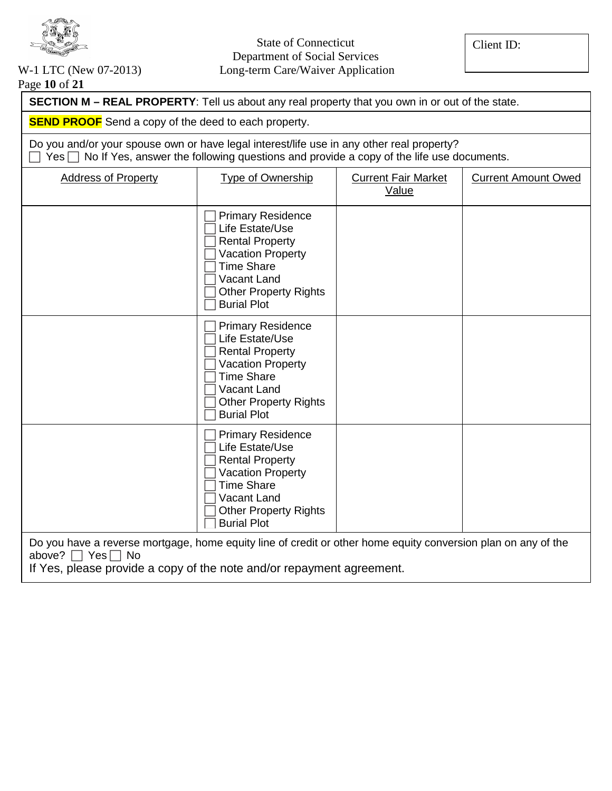

Client ID:

## Page **10** of **21**

| <b>SECTION M - REAL PROPERTY:</b> Tell us about any real property that you own in or out of the state.                                                                                            |                                                                                                                                                                                             |                                     |                            |  |  |  |
|---------------------------------------------------------------------------------------------------------------------------------------------------------------------------------------------------|---------------------------------------------------------------------------------------------------------------------------------------------------------------------------------------------|-------------------------------------|----------------------------|--|--|--|
| <b>SEND PROOF</b> Send a copy of the deed to each property.                                                                                                                                       |                                                                                                                                                                                             |                                     |                            |  |  |  |
| Do you and/or your spouse own or have legal interest/life use in any other real property?<br>$Yes \frown No$ If Yes, answer the following questions and provide a copy of the life use documents. |                                                                                                                                                                                             |                                     |                            |  |  |  |
| <b>Address of Property</b>                                                                                                                                                                        | <b>Type of Ownership</b>                                                                                                                                                                    | <b>Current Fair Market</b><br>Value | <b>Current Amount Owed</b> |  |  |  |
|                                                                                                                                                                                                   | <b>Primary Residence</b><br>Life Estate/Use<br><b>Rental Property</b><br><b>Vacation Property</b><br><b>Time Share</b><br>Vacant Land<br><b>Other Property Rights</b><br><b>Burial Plot</b> |                                     |                            |  |  |  |
|                                                                                                                                                                                                   | <b>Primary Residence</b><br>Life Estate/Use<br><b>Rental Property</b><br><b>Vacation Property</b><br><b>Time Share</b><br>Vacant Land<br><b>Other Property Rights</b><br><b>Burial Plot</b> |                                     |                            |  |  |  |
|                                                                                                                                                                                                   | <b>Primary Residence</b><br>Life Estate/Use<br><b>Rental Property</b><br><b>Vacation Property</b><br><b>Time Share</b><br>Vacant Land<br><b>Other Property Rights</b><br><b>Burial Plot</b> |                                     |                            |  |  |  |

Do you have a reverse mortgage, home equity line of credit or other home equity conversion plan on any of the above?  $\Box$  Yes  $\Box$  No

If Yes, please provide a copy of the note and/or repayment agreement.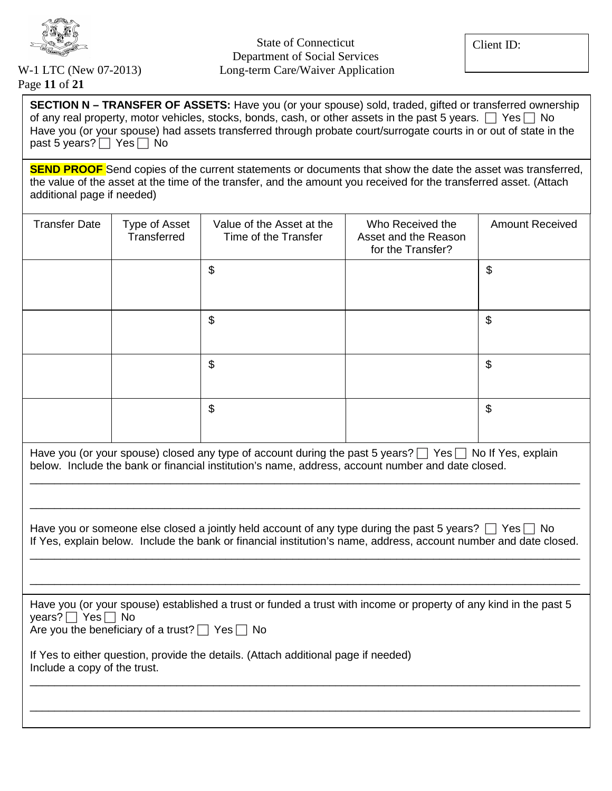

Page **11** of **21**

**SECTION N – TRANSFER OF ASSETS:** Have you (or your spouse) sold, traded, gifted or transferred ownership of any real property, motor vehicles, stocks, bonds, cash, or other assets in the past 5 years.  $\Box$  Yes  $\Box$  No Have you (or your spouse) had assets transferred through probate court/surrogate courts in or out of state in the past 5 years?  $\Box$  Yes  $\Box$  No

**SEND PROOF** Send copies of the current statements or documents that show the date the asset was transferred, the value of the asset at the time of the transfer, and the amount you received for the transferred asset. (Attach additional page if needed)

| <b>Transfer Date</b>                                                                                                                                                                                                                  | Type of Asset<br>Transferred | Value of the Asset at the<br>Time of the Transfer | Who Received the<br>Asset and the Reason<br>for the Transfer? | <b>Amount Received</b>    |  |
|---------------------------------------------------------------------------------------------------------------------------------------------------------------------------------------------------------------------------------------|------------------------------|---------------------------------------------------|---------------------------------------------------------------|---------------------------|--|
|                                                                                                                                                                                                                                       |                              | \$                                                |                                                               | \$                        |  |
|                                                                                                                                                                                                                                       |                              | \$                                                |                                                               | \$                        |  |
|                                                                                                                                                                                                                                       |                              | \$                                                |                                                               | $\boldsymbol{\mathsf{S}}$ |  |
|                                                                                                                                                                                                                                       |                              | \$                                                |                                                               | \$                        |  |
| Have you (or your spouse) closed any type of account during the past 5 years? $\Box$ Yes $\Box$ No If Yes, explain<br>below. Include the bank or financial institution's name, address, account number and date closed.               |                              |                                                   |                                                               |                           |  |
| Have you or someone else closed a jointly held account of any type during the past 5 years? $\Box$ Yes $\Box$ No<br>If Yes, explain below. Include the bank or financial institution's name, address, account number and date closed. |                              |                                                   |                                                               |                           |  |
|                                                                                                                                                                                                                                       |                              |                                                   |                                                               |                           |  |

Have you (or your spouse) established a trust or funded a trust with income or property of any kind in the past 5 years?  $\Box$  Yes  $\Box$  No

\_\_\_\_\_\_\_\_\_\_\_\_\_\_\_\_\_\_\_\_\_\_\_\_\_\_\_\_\_\_\_\_\_\_\_\_\_\_\_\_\_\_\_\_\_\_\_\_\_\_\_\_\_\_\_\_\_\_\_\_\_\_\_\_\_\_\_\_\_\_\_\_\_\_\_\_\_\_\_\_\_\_\_\_\_\_\_\_\_\_

\_\_\_\_\_\_\_\_\_\_\_\_\_\_\_\_\_\_\_\_\_\_\_\_\_\_\_\_\_\_\_\_\_\_\_\_\_\_\_\_\_\_\_\_\_\_\_\_\_\_\_\_\_\_\_\_\_\_\_\_\_\_\_\_\_\_\_\_\_\_\_\_\_\_\_\_\_\_\_\_\_\_\_\_\_\_\_\_\_\_

Are you the beneficiary of a trust?  $\Box$  Yes  $\Box$  No

If Yes to either question, provide the details. (Attach additional page if needed) Include a copy of the trust.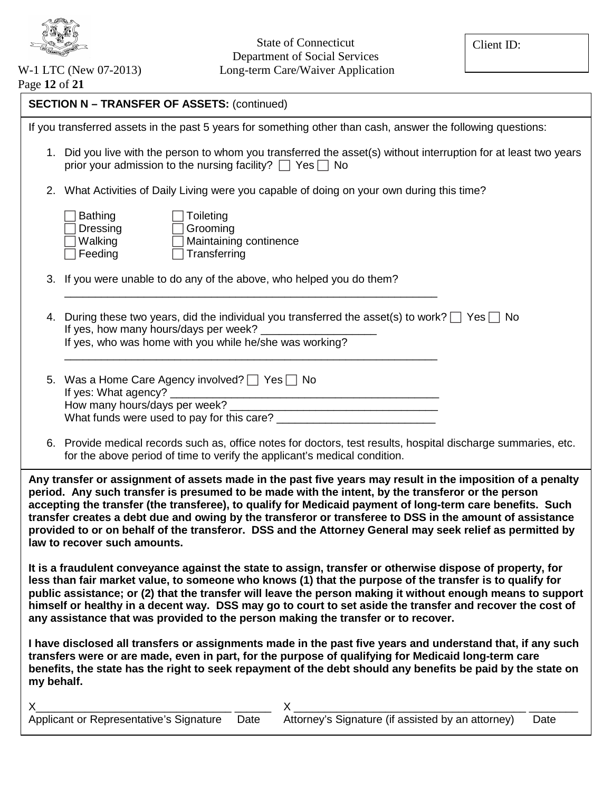

| Page 12 of 21 |  |  |  |
|---------------|--|--|--|
|---------------|--|--|--|

| <b>SECTION N - TRANSFER OF ASSETS: (continued)</b><br>If you transferred assets in the past 5 years for something other than cash, answer the following questions:<br>1. Did you live with the person to whom you transferred the asset(s) without interruption for at least two years<br>prior your admission to the nursing facility? $\Box$ Yes $\Box$ No<br>2. What Activities of Daily Living were you capable of doing on your own during this time?<br><b>Bathing</b><br>Toileting<br>Dressing<br>Grooming<br>Maintaining continence<br>Walking<br>Transferring<br>Feeding<br>3. If you were unable to do any of the above, who helped you do them?                                        |
|---------------------------------------------------------------------------------------------------------------------------------------------------------------------------------------------------------------------------------------------------------------------------------------------------------------------------------------------------------------------------------------------------------------------------------------------------------------------------------------------------------------------------------------------------------------------------------------------------------------------------------------------------------------------------------------------------|
|                                                                                                                                                                                                                                                                                                                                                                                                                                                                                                                                                                                                                                                                                                   |
|                                                                                                                                                                                                                                                                                                                                                                                                                                                                                                                                                                                                                                                                                                   |
|                                                                                                                                                                                                                                                                                                                                                                                                                                                                                                                                                                                                                                                                                                   |
|                                                                                                                                                                                                                                                                                                                                                                                                                                                                                                                                                                                                                                                                                                   |
|                                                                                                                                                                                                                                                                                                                                                                                                                                                                                                                                                                                                                                                                                                   |
|                                                                                                                                                                                                                                                                                                                                                                                                                                                                                                                                                                                                                                                                                                   |
| During these two years, did the individual you transferred the asset(s) to work? $\Box$ Yes $\Box$ No<br>4.<br>If yes, how many hours/days per week? _<br>If yes, who was home with you while he/she was working?                                                                                                                                                                                                                                                                                                                                                                                                                                                                                 |
| 5. Was a Home Care Agency involved?   Yes   No<br>If yes: What agency? _                                                                                                                                                                                                                                                                                                                                                                                                                                                                                                                                                                                                                          |
| 6. Provide medical records such as, office notes for doctors, test results, hospital discharge summaries, etc.<br>for the above period of time to verify the applicant's medical condition.                                                                                                                                                                                                                                                                                                                                                                                                                                                                                                       |
| Any transfer or assignment of assets made in the past five years may result in the imposition of a penalty<br>period. Any such transfer is presumed to be made with the intent, by the transferor or the person<br>accepting the transfer (the transferee), to qualify for Medicaid payment of long-term care benefits. Such<br>transfer creates a debt due and owing by the transferor or transferee to DSS in the amount of assistance<br>provided to or on behalf of the transferor. DSS and the Attorney General may seek relief as permitted by<br>law to recover such amounts.<br>It is a fraudulent conveyance against the state to assign, transfer or otherwise dispose of property, for |
| less than fair market value, to someone who knows (1) that the purpose of the transfer is to qualify for<br>public assistance; or (2) that the transfer will leave the person making it without enough means to support<br>himself or healthy in a decent way. DSS may go to court to set aside the transfer and recover the cost of<br>any assistance that was provided to the person making the transfer or to recover.                                                                                                                                                                                                                                                                         |
| I have disclosed all transfers or assignments made in the past five years and understand that, if any such<br>transfers were or are made, even in part, for the purpose of qualifying for Medicaid long-term care<br>benefits, the state has the right to seek repayment of the debt should any benefits be paid by the state on<br>my behalf.                                                                                                                                                                                                                                                                                                                                                    |
|                                                                                                                                                                                                                                                                                                                                                                                                                                                                                                                                                                                                                                                                                                   |
| Date                                                                                                                                                                                                                                                                                                                                                                                                                                                                                                                                                                                                                                                                                              |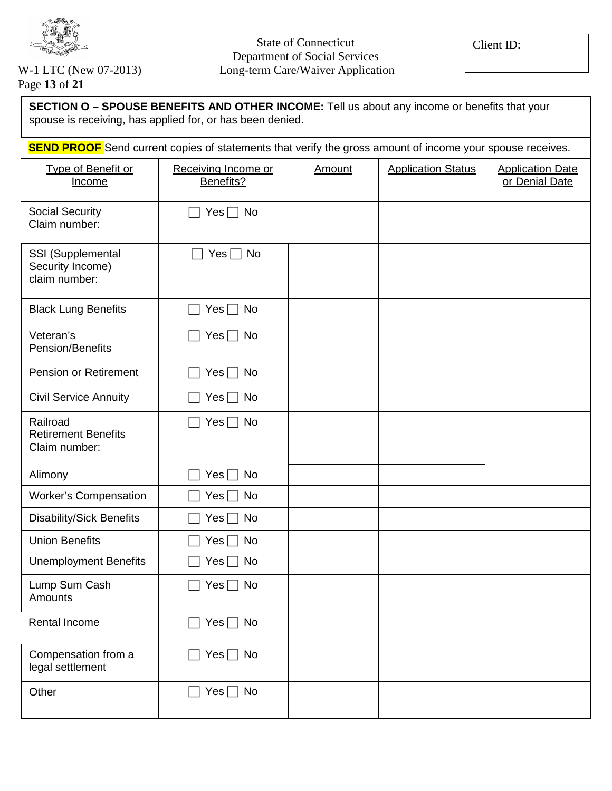

Page **13** of **21**

| SECTION O - SPOUSE BENEFITS AND OTHER INCOME: Tell us about any income or benefits that your<br>spouse is receiving, has applied for, or has been denied. |                                  |               |                           |                                           |  |  |
|-----------------------------------------------------------------------------------------------------------------------------------------------------------|----------------------------------|---------------|---------------------------|-------------------------------------------|--|--|
| <b>SEND PROOF</b> Send current copies of statements that verify the gross amount of income your spouse receives.                                          |                                  |               |                           |                                           |  |  |
| Type of Benefit or<br><b>Income</b>                                                                                                                       | Receiving Income or<br>Benefits? | <b>Amount</b> | <b>Application Status</b> | <b>Application Date</b><br>or Denial Date |  |  |
| <b>Social Security</b><br>Claim number:                                                                                                                   | $Yes \Box No$                    |               |                           |                                           |  |  |
| SSI (Supplemental<br>Security Income)<br>claim number:                                                                                                    | $Yes \Box No$                    |               |                           |                                           |  |  |
| <b>Black Lung Benefits</b>                                                                                                                                | $Yes \Box No$                    |               |                           |                                           |  |  |
| Veteran's<br>Pension/Benefits                                                                                                                             | $Yes \Box No$                    |               |                           |                                           |  |  |
| <b>Pension or Retirement</b>                                                                                                                              | $Yes \Box No$                    |               |                           |                                           |  |  |
| <b>Civil Service Annuity</b>                                                                                                                              | $Yes \Box No$                    |               |                           |                                           |  |  |
| Railroad<br><b>Retirement Benefits</b><br>Claim number:                                                                                                   | Yes $\Box$ No                    |               |                           |                                           |  |  |
| Alimony                                                                                                                                                   | Yes[<br>No                       |               |                           |                                           |  |  |
| <b>Worker's Compensation</b>                                                                                                                              | No<br>Yes ∣                      |               |                           |                                           |  |  |
| <b>Disability/Sick Benefits</b>                                                                                                                           | No<br>$Yes \Box$                 |               |                           |                                           |  |  |
| <b>Union Benefits</b>                                                                                                                                     | Yes <br>No                       |               |                           |                                           |  |  |
| <b>Unemployment Benefits</b>                                                                                                                              | $Yes \Box No$                    |               |                           |                                           |  |  |
| Lump Sum Cash<br>Amounts                                                                                                                                  | Yes $\Box$ No                    |               |                           |                                           |  |  |
| Rental Income                                                                                                                                             | Yes $\Box$ No                    |               |                           |                                           |  |  |
| Compensation from a<br>legal settlement                                                                                                                   | $Yes \Box No$                    |               |                           |                                           |  |  |
| Other                                                                                                                                                     | $Yes \Box No$                    |               |                           |                                           |  |  |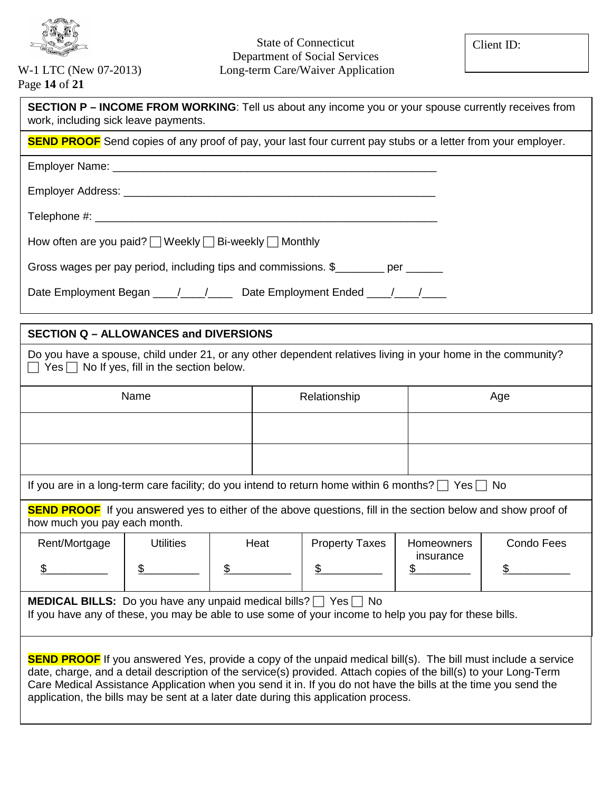

Page **14** of **21**

| <b>SECTION P – INCOME FROM WORKING:</b> Tell us about any income you or your spouse currently receives from<br>work, including sick leave payments.                     |              |     |  |  |
|-------------------------------------------------------------------------------------------------------------------------------------------------------------------------|--------------|-----|--|--|
| <b>SEND PROOF</b> Send copies of any proof of pay, your last four current pay stubs or a letter from your employer.                                                     |              |     |  |  |
|                                                                                                                                                                         |              |     |  |  |
|                                                                                                                                                                         |              |     |  |  |
|                                                                                                                                                                         |              |     |  |  |
| How often are you paid? $\Box$ Weekly $\Box$ Bi-weekly $\Box$ Monthly                                                                                                   |              |     |  |  |
| Gross wages per pay period, including tips and commissions. \$                                                                                                          |              |     |  |  |
| Date Employment Began ____/____/______ Date Employment Ended ____/____/____                                                                                             |              |     |  |  |
| <b>SECTION Q – ALLOWANCES and DIVERSIONS</b>                                                                                                                            |              |     |  |  |
| Do you have a spouse, child under 21, or any other dependent relatives living in your home in the community?<br>$\Box$ Yes $\Box$ No If yes, fill in the section below. |              |     |  |  |
| Name                                                                                                                                                                    | Relationship | Age |  |  |
|                                                                                                                                                                         |              |     |  |  |
|                                                                                                                                                                         |              |     |  |  |
| If you are in a long-term care facility; do you intend to return home within 6 months? $\Box$ Yes $\Box$ No                                                             |              |     |  |  |

 $\overline{a}$ **SEND PROOF** If you answered yes to either of the above questions, fill in the section below and show proof of how much you pay each month.

| Rent/Mortgage | <b>Jtilities</b> | Heat | <b>Property Taxes</b> | <b>Homeowners</b> | Condo Fees |
|---------------|------------------|------|-----------------------|-------------------|------------|
|               |                  |      |                       | insurance         |            |

**MEDICAL BILLS:** Do you have any unpaid medical bills?  $\Box$  Yes  $\Box$  No If you have any of these, you may be able to use some of your income to help you pay for these bills.

**SEND PROOF** If you answered Yes, provide a copy of the unpaid medical bill(s). The bill must include a service date, charge, and a detail description of the service(s) provided. Attach copies of the bill(s) to your Long-Term Care Medical Assistance Application when you send it in. If you do not have the bills at the time you send the application, the bills may be sent at a later date during this application process.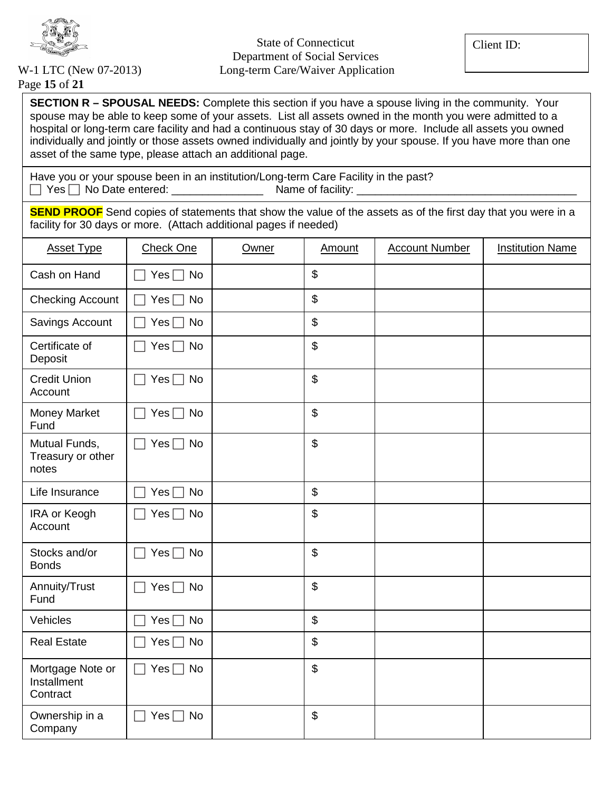

Page **15** of **21**

**SECTION R – SPOUSAL NEEDS:** Complete this section if you have a spouse living in the community. Your spouse may be able to keep some of your assets. List all assets owned in the month you were admitted to a hospital or long-term care facility and had a continuous stay of 30 days or more. Include all assets you owned individually and jointly or those assets owned individually and jointly by your spouse. If you have more than one asset of the same type, please attach an additional page.

Have you or your spouse been in an institution/Long-term Care Facility in the past?  $\Box$  Yes  $\Box$  No Date entered:  $\Box$  Name of facility:

**SEND PROOF** Send copies of statements that show the value of the assets as of the first day that you were in a facility for 30 days or more. (Attach additional pages if needed)

| <b>Asset Type</b>                           | <b>Check One</b>        | Owner | Amount | <b>Account Number</b> | <b>Institution Name</b> |
|---------------------------------------------|-------------------------|-------|--------|-----------------------|-------------------------|
| Cash on Hand                                | Yes $\Box$ No           |       | \$     |                       |                         |
| <b>Checking Account</b>                     | Yes $\Box$ No           |       | \$     |                       |                         |
| Savings Account                             | $Yes \Box No$           |       | \$     |                       |                         |
| Certificate of<br>Deposit                   | Yes $\Box$ No           |       | \$     |                       |                         |
| <b>Credit Union</b><br>Account              | Yes $\Box$ No           |       | \$     |                       |                         |
| Money Market<br>Fund                        | $Yes \Box No$           |       | \$     |                       |                         |
| Mutual Funds,<br>Treasury or other<br>notes | $Yes \Box No$<br>$\Box$ |       | \$     |                       |                         |
| Life Insurance                              | Yes $\Box$ No           |       | \$     |                       |                         |
| IRA or Keogh<br>Account                     | $Yes \Box No$           |       | \$     |                       |                         |
| Stocks and/or<br><b>Bonds</b>               | Yes $\Box$ No           |       | \$     |                       |                         |
| Annuity/Trust<br>Fund                       | Yes $\Box$ No           |       | \$     |                       |                         |
| Vehicles                                    | Yes $\Box$ No           |       | \$     |                       |                         |
| <b>Real Estate</b>                          | Yes $\Box$ No           |       | \$     |                       |                         |
| Mortgage Note or<br>Installment<br>Contract | $Yes \Box No$<br>$\Box$ |       | \$     |                       |                         |
| Ownership in a<br>Company                   | Yes $\Box$<br>No        |       | \$     |                       |                         |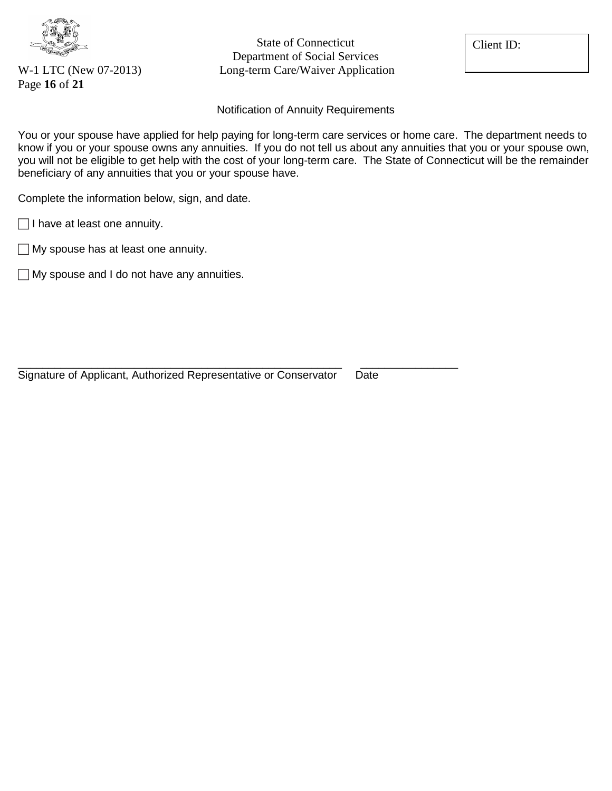

Page **16** of **21**

State of Connecticut Department of Social Services W-1 LTC (New 07-2013) Long-term Care/Waiver Application Client ID:

Notification of Annuity Requirements

You or your spouse have applied for help paying for long-term care services or home care. The department needs to know if you or your spouse owns any annuities. If you do not tell us about any annuities that you or your spouse own, you will not be eligible to get help with the cost of your long-term care. The State of Connecticut will be the remainder beneficiary of any annuities that you or your spouse have.

Complete the information below, sign, and date.

 $\Box$  I have at least one annuity.

 $\Box$  My spouse has at least one annuity.

 $\Box$  My spouse and I do not have any annuities.

\_\_\_\_\_\_\_\_\_\_\_\_\_\_\_\_\_\_\_\_\_\_\_\_\_\_\_\_\_\_\_\_\_\_\_\_\_\_\_\_\_\_\_\_\_\_\_\_\_\_\_\_\_ \_\_\_\_\_\_\_\_\_\_\_\_\_\_\_\_ Signature of Applicant, Authorized Representative or Conservator Date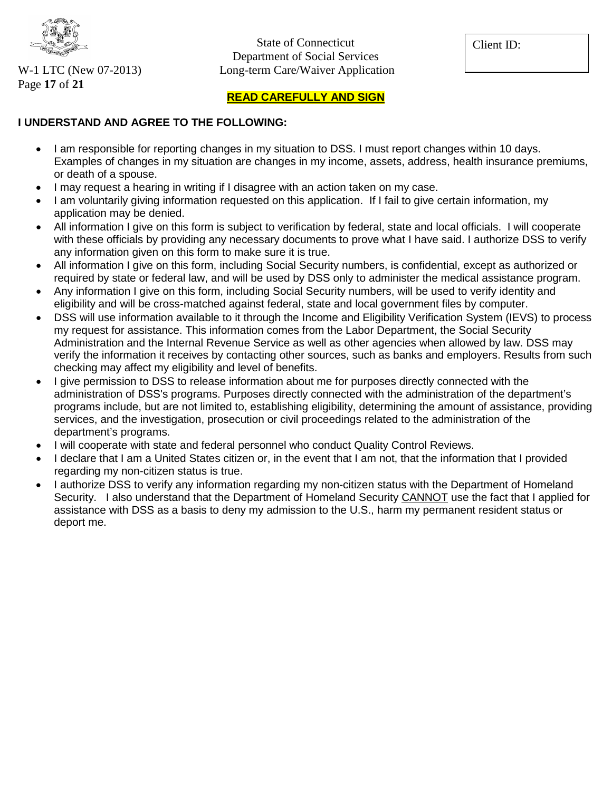

Page **17** of **21**

State of Connecticut Department of Social Services W-1 LTC (New 07-2013) Long-term Care/Waiver Application

Client ID:

#### **READ CAREFULLY AND SIGN**

#### **I UNDERSTAND AND AGREE TO THE FOLLOWING:**

- I am responsible for reporting changes in my situation to DSS. I must report changes within 10 days. Examples of changes in my situation are changes in my income, assets, address, health insurance premiums, or death of a spouse.
- I may request a hearing in writing if I disagree with an action taken on my case.
- I am voluntarily giving information requested on this application. If I fail to give certain information, my application may be denied.
- All information I give on this form is subject to verification by federal, state and local officials. I will cooperate with these officials by providing any necessary documents to prove what I have said. I authorize DSS to verify any information given on this form to make sure it is true.
- All information I give on this form, including Social Security numbers, is confidential, except as authorized or required by state or federal law, and will be used by DSS only to administer the medical assistance program.
- Any information I give on this form, including Social Security numbers, will be used to verify identity and eligibility and will be cross-matched against federal, state and local government files by computer.
- DSS will use information available to it through the Income and Eligibility Verification System (IEVS) to process my request for assistance. This information comes from the Labor Department, the Social Security Administration and the Internal Revenue Service as well as other agencies when allowed by law. DSS may verify the information it receives by contacting other sources, such as banks and employers. Results from such checking may affect my eligibility and level of benefits.
- I give permission to DSS to release information about me for purposes directly connected with the administration of DSS's programs. Purposes directly connected with the administration of the department's programs include, but are not limited to, establishing eligibility, determining the amount of assistance, providing services, and the investigation, prosecution or civil proceedings related to the administration of the department's programs.
- I will cooperate with state and federal personnel who conduct Quality Control Reviews.
- I declare that I am a United States citizen or, in the event that I am not, that the information that I provided regarding my non-citizen status is true.
- I authorize DSS to verify any information regarding my non-citizen status with the Department of Homeland Security. I also understand that the Department of Homeland Security CANNOT use the fact that I applied for assistance with DSS as a basis to deny my admission to the U.S., harm my permanent resident status or deport me.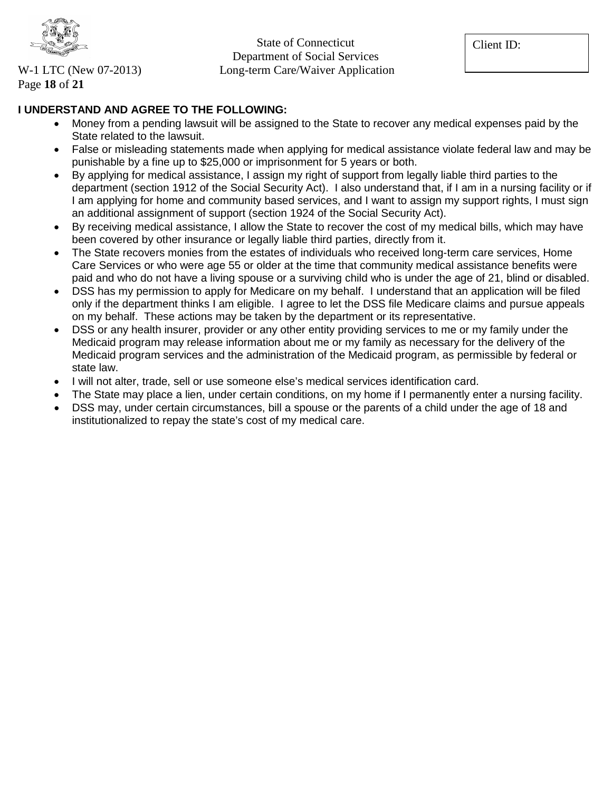

Page **18** of **21**

State of Connecticut Department of Social Services W-1 LTC (New 07-2013) Long-term Care/Waiver Application

Client ID:

### **I UNDERSTAND AND AGREE TO THE FOLLOWING:**

- Money from a pending lawsuit will be assigned to the State to recover any medical expenses paid by the State related to the lawsuit.
- False or misleading statements made when applying for medical assistance violate federal law and may be punishable by a fine up to \$25,000 or imprisonment for 5 years or both.
- By applying for medical assistance, I assign my right of support from legally liable third parties to the department (section 1912 of the Social Security Act). I also understand that, if I am in a nursing facility or if I am applying for home and community based services, and I want to assign my support rights, I must sign an additional assignment of support (section 1924 of the Social Security Act).
- By receiving medical assistance, I allow the State to recover the cost of my medical bills, which may have been covered by other insurance or legally liable third parties, directly from it.
- The State recovers monies from the estates of individuals who received long-term care services, Home Care Services or who were age 55 or older at the time that community medical assistance benefits were paid and who do not have a living spouse or a surviving child who is under the age of 21, blind or disabled.
- DSS has my permission to apply for Medicare on my behalf. I understand that an application will be filed only if the department thinks I am eligible. I agree to let the DSS file Medicare claims and pursue appeals on my behalf. These actions may be taken by the department or its representative.
- DSS or any health insurer, provider or any other entity providing services to me or my family under the Medicaid program may release information about me or my family as necessary for the delivery of the Medicaid program services and the administration of the Medicaid program, as permissible by federal or state law.
- I will not alter, trade, sell or use someone else's medical services identification card.
- The State may place a lien, under certain conditions, on my home if I permanently enter a nursing facility.
- DSS may, under certain circumstances, bill a spouse or the parents of a child under the age of 18 and institutionalized to repay the state's cost of my medical care.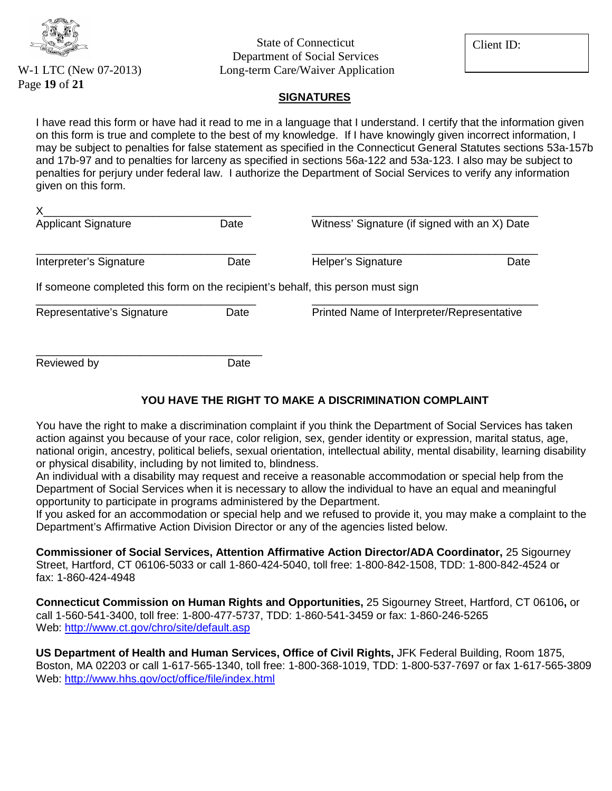

Page **19** of **21**

State of Connecticut Department of Social Services W-1 LTC (New 07-2013) Long-term Care/Waiver Application Client ID:

#### **SIGNATURES**

I have read this form or have had it read to me in a language that I understand. I certify that the information given on this form is true and complete to the best of my knowledge. If I have knowingly given incorrect information, I may be subject to penalties for false statement as specified in the Connecticut General Statutes sections 53a-157b and 17b-97 and to penalties for larceny as specified in sections 56a-122 and 53a-123. I also may be subject to penalties for perjury under federal law. I authorize the Department of Social Services to verify any information given on this form.

| Х<br><b>Applicant Signature</b>                                                 | Date | Witness' Signature (if signed with an X) Date |      |  |
|---------------------------------------------------------------------------------|------|-----------------------------------------------|------|--|
| Interpreter's Signature                                                         | Date | Helper's Signature                            | Date |  |
| If someone completed this form on the recipient's behalf, this person must sign |      |                                               |      |  |
| Representative's Signature                                                      | Date | Printed Name of Interpreter/Representative    |      |  |
| Reviewed by                                                                     | Date |                                               |      |  |

#### **YOU HAVE THE RIGHT TO MAKE A DISCRIMINATION COMPLAINT**

You have the right to make a discrimination complaint if you think the Department of Social Services has taken action against you because of your race, color religion, sex, gender identity or expression, marital status, age, national origin, ancestry, political beliefs, sexual orientation, intellectual ability, mental disability, learning disability or physical disability, including by not limited to, blindness.

An individual with a disability may request and receive a reasonable accommodation or special help from the Department of Social Services when it is necessary to allow the individual to have an equal and meaningful opportunity to participate in programs administered by the Department.

If you asked for an accommodation or special help and we refused to provide it, you may make a complaint to the Department's Affirmative Action Division Director or any of the agencies listed below.

**Commissioner of Social Services, Attention Affirmative Action Director/ADA Coordinator,** 25 Sigourney Street, Hartford, CT 06106-5033 or call 1-860-424-5040, toll free: 1-800-842-1508, TDD: 1-800-842-4524 or fax: 1-860-424-4948

**Connecticut Commission on Human Rights and Opportunities,** 25 Sigourney Street, Hartford, CT 06106**,** or call 1-560-541-3400, toll free: 1-800-477-5737, TDD: 1-860-541-3459 or fax: 1-860-246-5265 Web:<http://www.ct.gov/chro/site/default.asp>

**US Department of Health and Human Services, Office of Civil Rights,** JFK Federal Building, Room 1875, Boston, MA 02203 or call 1-617-565-1340, toll free: 1-800-368-1019, TDD: 1-800-537-7697 or fax 1-617-565-3809 Web:<http://www.hhs.gov/oct/office/file/index.html>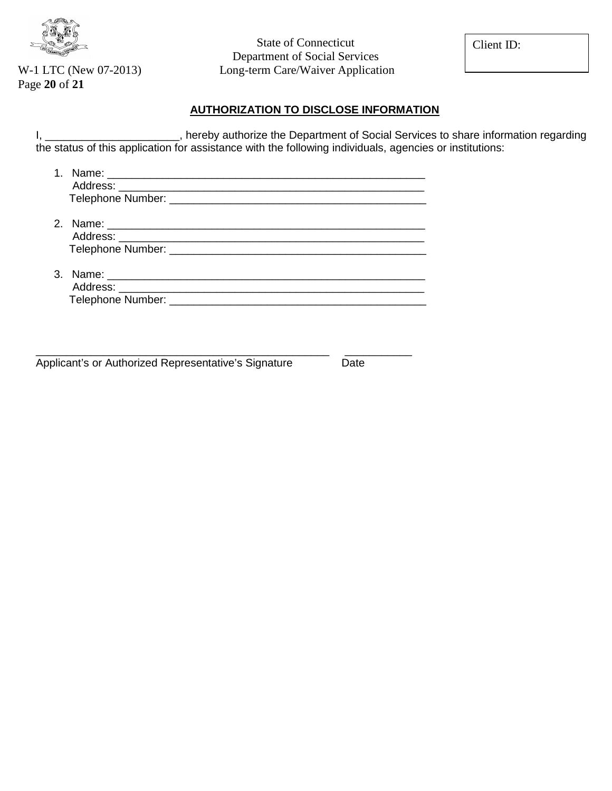

Page **20** of **21**

State of Connecticut Department of Social Services W-1 LTC (New 07-2013) Long-term Care/Waiver Application

Client ID:

#### **AUTHORIZATION TO DISCLOSE INFORMATION**

I, \_\_\_\_\_\_\_\_\_\_\_\_\_\_\_\_\_\_\_\_\_\_, hereby authorize the Department of Social Services to share information regarding the status of this application for assistance with the following individuals, agencies or institutions:

\_\_\_\_\_\_\_\_\_\_\_\_\_\_\_\_\_\_\_\_\_\_\_\_\_\_\_\_\_\_\_\_\_\_\_\_\_\_\_\_\_\_\_\_\_\_\_\_ \_\_\_\_\_\_\_\_\_\_\_

Applicant's or Authorized Representative's Signature Date